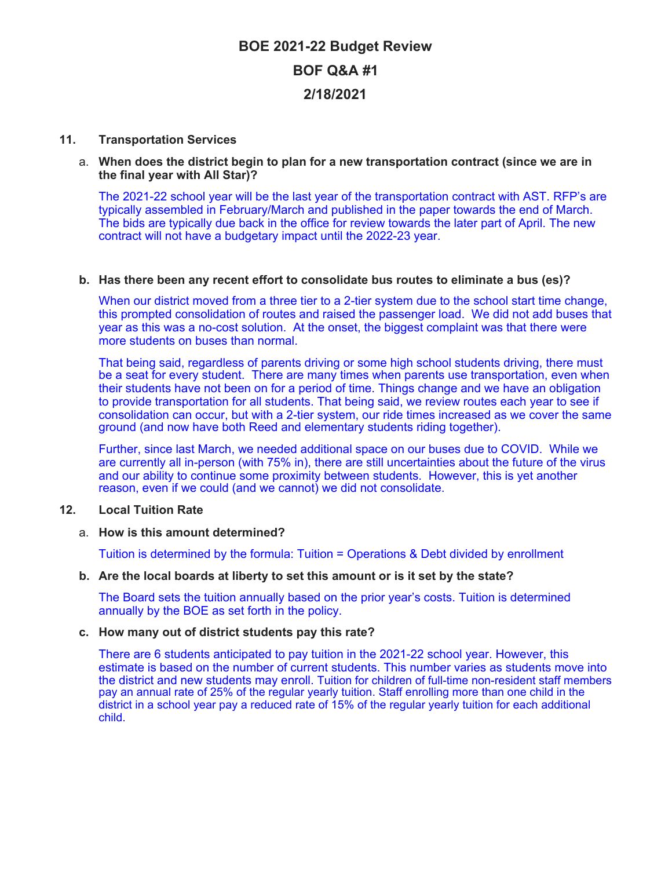# **BOE 2021-22 Budget Review BOF Q&A #1 2/18/2021**

## **11. Transportation Services**

## a. **When does the district begin to plan for a new transportation contract (since we are in the final year with All Star)?**

The 2021-22 school year will be the last year of the transportation contract with AST. RFP's are typically assembled in February/March and published in the paper towards the end of March. The bids are typically due back in the office for review towards the later part of April. The new contract will not have a budgetary impact until the 2022-23 year.

## **b. Has there been any recent effort to consolidate bus routes to eliminate a bus (es)?**

When our district moved from a three tier to a 2-tier system due to the school start time change, this prompted consolidation of routes and raised the passenger load. We did not add buses that year as this was a no-cost solution. At the onset, the biggest complaint was that there were more students on buses than normal.

That being said, regardless of parents driving or some high school students driving, there must be a seat for every student. There are many times when parents use transportation, even when their students have not been on for a period of time. Things change and we have an obligation to provide transportation for all students. That being said, we review routes each year to see if consolidation can occur, but with a 2-tier system, our ride times increased as we cover the same ground (and now have both Reed and elementary students riding together).

Further, since last March, we needed additional space on our buses due to COVID. While we are currently all in-person (with 75% in), there are still uncertainties about the future of the virus and our ability to continue some proximity between students. However, this is yet another reason, even if we could (and we cannot) we did not consolidate.

# **12. Local Tuition Rate**

# a. **How is this amount determined?**

Tuition is determined by the formula: Tuition = Operations & Debt divided by enrollment

#### **b. Are the local boards at liberty to set this amount or is it set by the state?**

The Board sets the tuition annually based on the prior year's costs. Tuition is determined annually by the BOE as set forth in the policy.

#### **c. How many out of district students pay this rate?**

There are 6 students anticipated to pay tuition in the 2021-22 school year. However, this estimate is based on the number of current students. This number varies as students move into the district and new students may enroll. Tuition for children of full-time non-resident staff members pay an annual rate of 25% of the regular yearly tuition. Staff enrolling more than one child in the district in a school year pay a reduced rate of 15% of the regular yearly tuition for each additional child.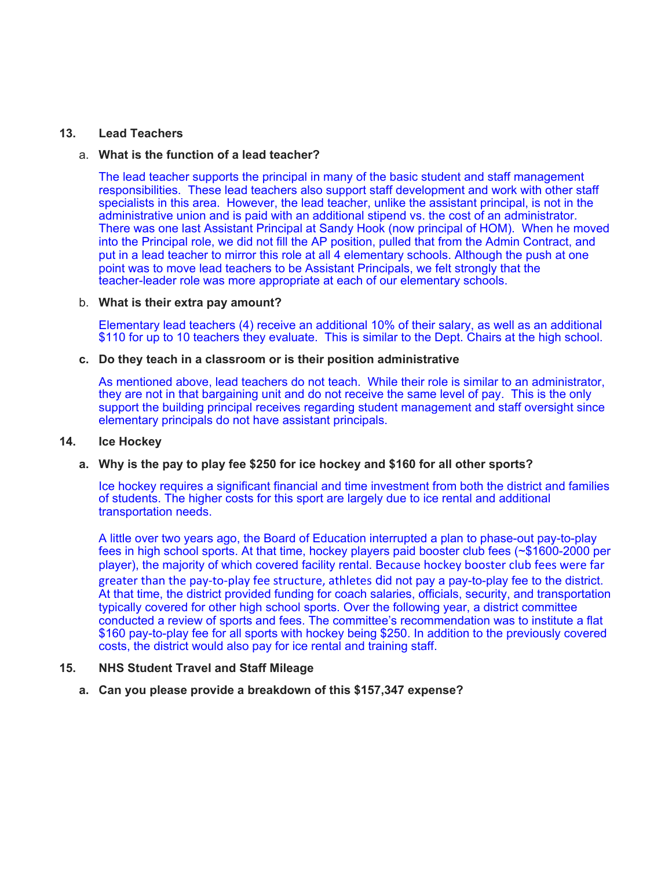# **13. Lead Teachers**

## a. **What is the function of a lead teacher?**

The lead teacher supports the principal in many of the basic student and staff management responsibilities. These lead teachers also support staff development and work with other staff specialists in this area. However, the lead teacher, unlike the assistant principal, is not in the administrative union and is paid with an additional stipend vs. the cost of an administrator. There was one last Assistant Principal at Sandy Hook (now principal of HOM). When he moved into the Principal role, we did not fill the AP position, pulled that from the Admin Contract, and put in a lead teacher to mirror this role at all 4 elementary schools. Although the push at one point was to move lead teachers to be Assistant Principals, we felt strongly that the teacher-leader role was more appropriate at each of our elementary schools.

## b. **What is their extra pay amount?**

Elementary lead teachers (4) receive an additional 10% of their salary, as well as an additional \$110 for up to 10 teachers they evaluate. This is similar to the Dept. Chairs at the high school.

#### **c. Do they teach in a classroom or is their position administrative**

As mentioned above, lead teachers do not teach. While their role is similar to an administrator, they are not in that bargaining unit and do not receive the same level of pay. This is the only support the building principal receives regarding student management and staff oversight since elementary principals do not have assistant principals.

#### **14. Ice Hockey**

# **a. Why is the pay to play fee \$250 for ice hockey and \$160 for all other sports?**

Ice hockey requires a significant financial and time investment from both the district and families of students. The higher costs for this sport are largely due to ice rental and additional transportation needs.

A little over two years ago, the Board of Education interrupted a plan to phase-out pay-to-play fees in high school sports. At that time, hockey players paid booster club fees (~\$1600-2000 per player), the majority of which covered facility rental. Because hockey booster club fees were far greater than the pay-to-play fee structure, athletes did not pay a pay-to-play fee to the district. At that time, the district provided funding for coach salaries, officials, security, and transportation typically covered for other high school sports. Over the following year, a district committee conducted a review of sports and fees. The committee's recommendation was to institute a flat \$160 pay-to-play fee for all sports with hockey being \$250. In addition to the previously covered costs, the district would also pay for ice rental and training staff.

## **15. NHS Student Travel and Staff Mileage**

**a. Can you please provide a breakdown of this \$157,347 expense?**